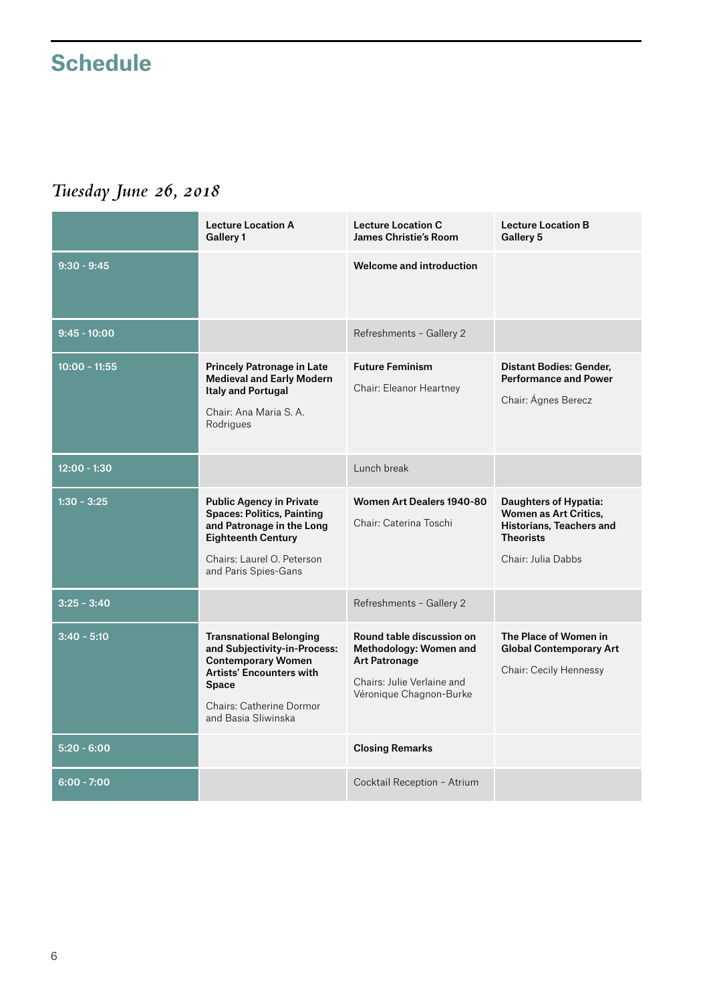## **Schedule**

## *Tuesday June 26, 2018*

|                 | <b>Lecture Location A</b><br>Gallery 1                                                                                                                                                                   | <b>Lecture Location C</b><br><b>James Christie's Room</b>                                                                            | <b>Lecture Location B</b><br>Gallery 5                                                                                      |
|-----------------|----------------------------------------------------------------------------------------------------------------------------------------------------------------------------------------------------------|--------------------------------------------------------------------------------------------------------------------------------------|-----------------------------------------------------------------------------------------------------------------------------|
| $9:30 - 9:45$   |                                                                                                                                                                                                          | <b>Welcome and introduction</b>                                                                                                      |                                                                                                                             |
| $9:45 - 10:00$  |                                                                                                                                                                                                          | Refreshments - Gallery 2                                                                                                             |                                                                                                                             |
| $10:00 - 11:55$ | <b>Princely Patronage in Late</b><br><b>Medieval and Early Modern</b><br><b>Italy and Portugal</b><br>Chair: Ana Maria S. A.<br>Rodrigues                                                                | <b>Future Feminism</b><br>Chair: Eleanor Heartney                                                                                    | <b>Distant Bodies: Gender.</b><br><b>Performance and Power</b><br>Chair: Ágnes Berecz                                       |
| $12:00 - 1:30$  |                                                                                                                                                                                                          | Lunch break                                                                                                                          |                                                                                                                             |
| $1:30 - 3:25$   | <b>Public Agency in Private</b><br><b>Spaces: Politics, Painting</b><br>and Patronage in the Long<br><b>Eighteenth Century</b><br>Chairs: Laurel O. Peterson<br>and Paris Spies-Gans                     | Women Art Dealers 1940-80<br>Chair: Caterina Toschi                                                                                  | Daughters of Hypatia:<br><b>Women as Art Critics,</b><br>Historians, Teachers and<br><b>Theorists</b><br>Chair: Julia Dabbs |
| $3:25 - 3:40$   |                                                                                                                                                                                                          | Refreshments - Gallery 2                                                                                                             |                                                                                                                             |
| $3:40 - 5:10$   | <b>Transnational Belonging</b><br>and Subjectivity-in-Process:<br><b>Contemporary Women</b><br><b>Artists' Encounters with</b><br><b>Space</b><br><b>Chairs: Catherine Dormor</b><br>and Basia Sliwinska | Round table discussion on<br>Methodology: Women and<br><b>Art Patronage</b><br>Chairs: Julie Verlaine and<br>Véronique Chagnon-Burke | The Place of Women in<br><b>Global Contemporary Art</b><br>Chair: Cecily Hennessy                                           |
| $5:20 - 6:00$   |                                                                                                                                                                                                          | <b>Closing Remarks</b>                                                                                                               |                                                                                                                             |
| $6:00 - 7:00$   |                                                                                                                                                                                                          | Cocktail Reception - Atrium                                                                                                          |                                                                                                                             |